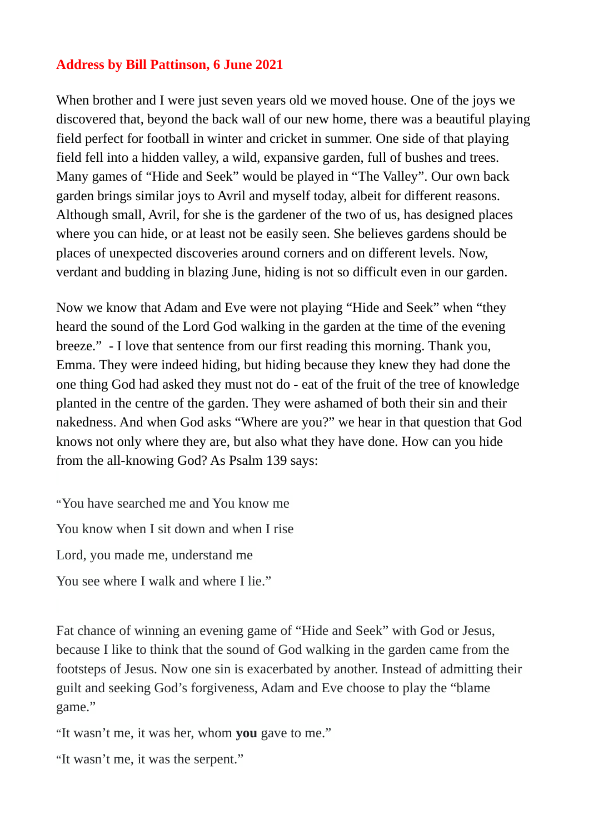## **Address by Bill Pattinson, 6 June 2021**

When brother and I were just seven years old we moved house. One of the joys we discovered that, beyond the back wall of our new home, there was a beautiful playing field perfect for football in winter and cricket in summer. One side of that playing field fell into a hidden valley, a wild, expansive garden, full of bushes and trees. Many games of "Hide and Seek" would be played in "The Valley". Our own back garden brings similar joys to Avril and myself today, albeit for different reasons. Although small, Avril, for she is the gardener of the two of us, has designed places where you can hide, or at least not be easily seen. She believes gardens should be places of unexpected discoveries around corners and on different levels. Now, verdant and budding in blazing June, hiding is not so difficult even in our garden.

Now we know that Adam and Eve were not playing "Hide and Seek" when "they heard the sound of the Lord God walking in the garden at the time of the evening breeze." - I love that sentence from our first reading this morning. Thank you, Emma. They were indeed hiding, but hiding because they knew they had done the one thing God had asked they must not do - eat of the fruit of the tree of knowledge planted in the centre of the garden. They were ashamed of both their sin and their nakedness. And when God asks "Where are you?" we hear in that question that God knows not only where they are, but also what they have done. How can you hide from the all-knowing God? As Psalm 139 says:

"You have searched me and You know me You know when I sit down and when I rise Lord, you made me, understand me You see where I walk and where I lie."

Fat chance of winning an evening game of "Hide and Seek" with God or Jesus, because I like to think that the sound of God walking in the garden came from the footsteps of Jesus. Now one sin is exacerbated by another. Instead of admitting their guilt and seeking God's forgiveness, Adam and Eve choose to play the "blame game."

"It wasn't me, it was her, whom **you** gave to me."

"It wasn't me, it was the serpent."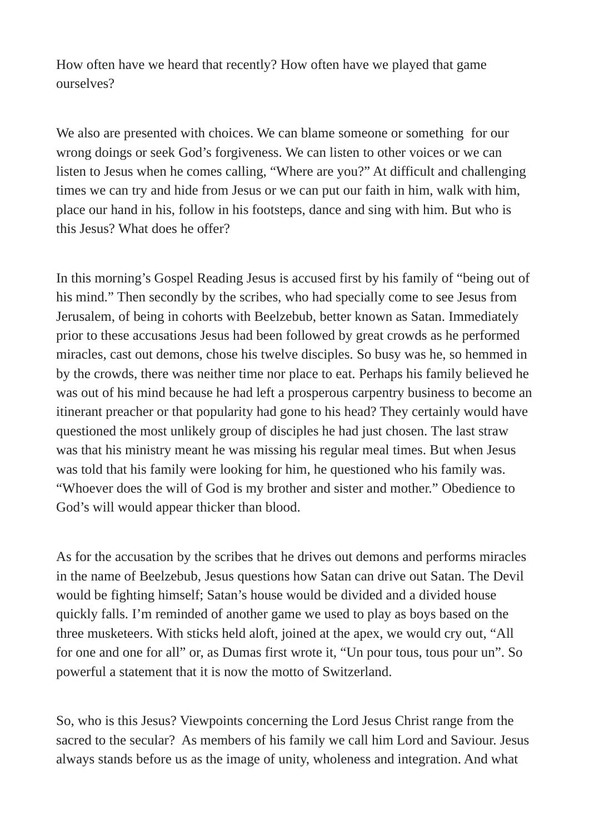How often have we heard that recently? How often have we played that game ourselves?

We also are presented with choices. We can blame someone or something for our wrong doings or seek God's forgiveness. We can listen to other voices or we can listen to Jesus when he comes calling, "Where are you?" At difficult and challenging times we can try and hide from Jesus or we can put our faith in him, walk with him, place our hand in his, follow in his footsteps, dance and sing with him. But who is this Jesus? What does he offer?

In this morning's Gospel Reading Jesus is accused first by his family of "being out of his mind." Then secondly by the scribes, who had specially come to see Jesus from Jerusalem, of being in cohorts with Beelzebub, better known as Satan. Immediately prior to these accusations Jesus had been followed by great crowds as he performed miracles, cast out demons, chose his twelve disciples. So busy was he, so hemmed in by the crowds, there was neither time nor place to eat. Perhaps his family believed he was out of his mind because he had left a prosperous carpentry business to become an itinerant preacher or that popularity had gone to his head? They certainly would have questioned the most unlikely group of disciples he had just chosen. The last straw was that his ministry meant he was missing his regular meal times. But when Jesus was told that his family were looking for him, he questioned who his family was. "Whoever does the will of God is my brother and sister and mother." Obedience to God's will would appear thicker than blood.

As for the accusation by the scribes that he drives out demons and performs miracles in the name of Beelzebub, Jesus questions how Satan can drive out Satan. The Devil would be fighting himself; Satan's house would be divided and a divided house quickly falls. I'm reminded of another game we used to play as boys based on the three musketeers. With sticks held aloft, joined at the apex, we would cry out, "All for one and one for all" or, as Dumas first wrote it, "Un pour tous, tous pour un". So powerful a statement that it is now the motto of Switzerland.

So, who is this Jesus? Viewpoints concerning the Lord Jesus Christ range from the sacred to the secular? As members of his family we call him Lord and Saviour. Jesus always stands before us as the image of unity, wholeness and integration. And what